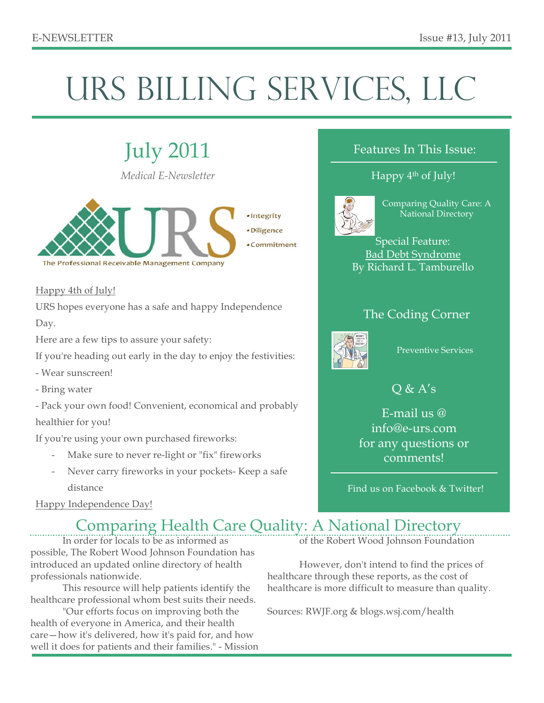# URS BILLING SERVICES, LLC

July 2011 *Medical E-Newsletter*



### Happy 4th of July!

URS hopes everyone has a safe and happy Independence

Day.

Here are a few tips to assure your safety:

If you're heading out early in the day to enjoy the festivities:

- Wear sunscreen!
- Bring water

- Pack your own food! Convenient, economical and probably healthier for you!

If you're using your own purchased fireworks:

- Make sure to never re-light or "fix" fireworks
- Never carry fireworks in your pockets- Keep a safe distance

### Happy Independence Day!

## Features In This Issue:

## Happy 4<sup>th</sup> of July!



Comparing Quality Care: A National Directory

Special Feature: Bad Debt Syndrome By Richard L. Tamburello

## The Coding Corner



Preventive Services

## $Q & A's$

E-mail us @ info@e-urs.com for any questions or comments!

Find us on Facebook & Twitter!

## Comparing Health Care Quality: A National Directory

In order for locals to be as informed as possible, The Robert Wood Johnson Foundation has introduced an updated online directory of health professionals nationwide.

This resource will help patients identify the healthcare professional whom best suits their needs.

"Our efforts focus on improving both the health of everyone in America, and their health care—how it's delivered, how it's paid for, and how well it does for patients and their families." - Mission of the Robert Wood Johnson Foundation

However, don't intend to find the prices of healthcare through these reports, as the cost of healthcare is more difficult to measure than quality.

Sources: RWJF.org & blogs.wsj.com/health